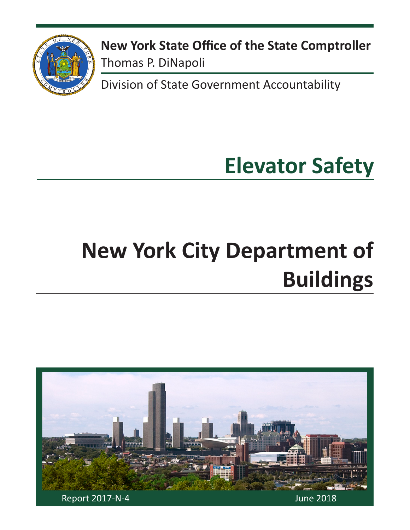

**New York State Office of the State Comptroller** Thomas P. DiNapoli

Division of State Government Accountability

# **Elevator Safety**

# **New York City Department of Buildings**

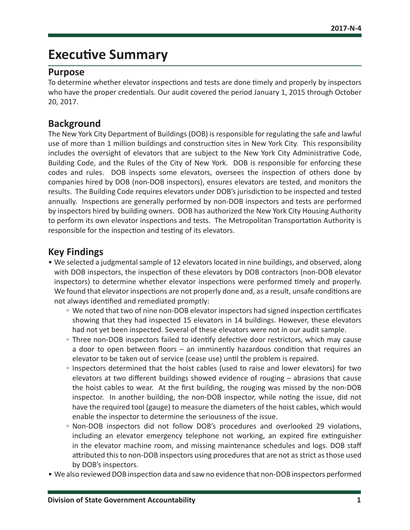## **Executive Summary**

### **Purpose**

To determine whether elevator inspections and tests are done timely and properly by inspectors who have the proper credentials. Our audit covered the period January 1, 2015 through October 20, 2017.

### **Background**

The New York City Department of Buildings (DOB) is responsible for regulating the safe and lawful use of more than 1 million buildings and construction sites in New York City. This responsibility includes the oversight of elevators that are subject to the New York City Administrative Code, Building Code, and the Rules of the City of New York. DOB is responsible for enforcing these codes and rules. DOB inspects some elevators, oversees the inspection of others done by companies hired by DOB (non-DOB inspectors), ensures elevators are tested, and monitors the results. The Building Code requires elevators under DOB's jurisdiction to be inspected and tested annually. Inspections are generally performed by non-DOB inspectors and tests are performed by inspectors hired by building owners. DOB has authorized the New York City Housing Authority to perform its own elevator inspections and tests. The Metropolitan Transportation Authority is responsible for the inspection and testing of its elevators.

### **Key Findings**

- We selected a judgmental sample of 12 elevators located in nine buildings, and observed, along with DOB inspectors, the inspection of these elevators by DOB contractors (non-DOB elevator inspectors) to determine whether elevator inspections were performed timely and properly. We found that elevator inspections are not properly done and, as a result, unsafe conditions are not always identified and remediated promptly:
	- We noted that two of nine non-DOB elevator inspectors had signed inspection certificates showing that they had inspected 15 elevators in 14 buildings. However, these elevators had not yet been inspected. Several of these elevators were not in our audit sample.
	- Three non-DOB inspectors failed to identify defective door restrictors, which may cause a door to open between floors – an imminently hazardous condition that requires an elevator to be taken out of service (cease use) until the problem is repaired.
	- Inspectors determined that the hoist cables (used to raise and lower elevators) for two elevators at two different buildings showed evidence of rouging – abrasions that cause the hoist cables to wear. At the first building, the rouging was missed by the non-DOB inspector. In another building, the non-DOB inspector, while noting the issue, did not have the required tool (gauge) to measure the diameters of the hoist cables, which would enable the inspector to determine the seriousness of the issue.
	- Non-DOB inspectors did not follow DOB's procedures and overlooked 29 violations, including an elevator emergency telephone not working, an expired fire extinguisher in the elevator machine room, and missing maintenance schedules and logs. DOB staff attributed this to non-DOB inspectors using procedures that are not as strict as those used by DOB's inspectors.
- We also reviewed DOB inspection data and saw no evidence that non-DOB inspectors performed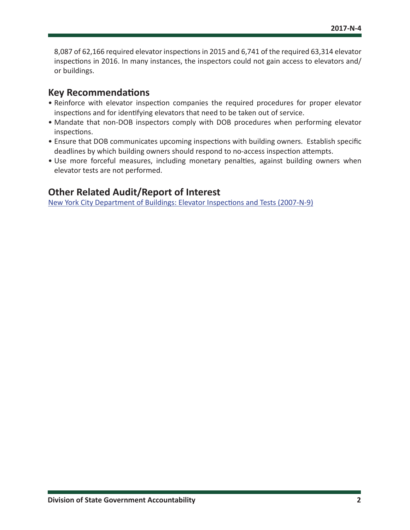8,087 of 62,166 required elevator inspections in 2015 and 6,741 of the required 63,314 elevator inspections in 2016. In many instances, the inspectors could not gain access to elevators and/ or buildings.

### **Key Recommendations**

- Reinforce with elevator inspection companies the required procedures for proper elevator inspections and for identifying elevators that need to be taken out of service.
- Mandate that non-DOB inspectors comply with DOB procedures when performing elevator inspections.
- Ensure that DOB communicates upcoming inspections with building owners. Establish specific deadlines by which building owners should respond to no-access inspection attempts.
- Use more forceful measures, including monetary penalties, against building owners when elevator tests are not performed.

## **Other Related Audit/Report of Interest**

[New York City Department of Buildings: Elevator Inspections and Tests \(2007-N-9\)](http://osc.state.ny.us/audits/allaudits/093009/07n9.pdf)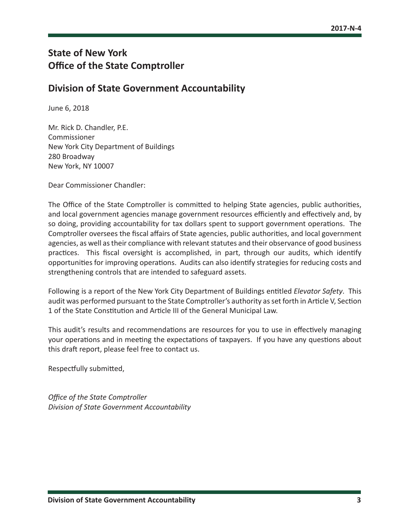## **State of New York Office of the State Comptroller**

### **Division of State Government Accountability**

June 6, 2018

Mr. Rick D. Chandler, P.E. Commissioner New York City Department of Buildings 280 Broadway New York, NY 10007

Dear Commissioner Chandler:

The Office of the State Comptroller is committed to helping State agencies, public authorities, and local government agencies manage government resources efficiently and effectively and, by so doing, providing accountability for tax dollars spent to support government operations. The Comptroller oversees the fiscal affairs of State agencies, public authorities, and local government agencies, as well as their compliance with relevant statutes and their observance of good business practices. This fiscal oversight is accomplished, in part, through our audits, which identify opportunities for improving operations. Audits can also identify strategies for reducing costs and strengthening controls that are intended to safeguard assets.

Following is a report of the New York City Department of Buildings entitled *Elevator Safety*. This audit was performed pursuant to the State Comptroller's authority as set forth in Article V, Section 1 of the State Constitution and Article III of the General Municipal Law.

This audit's results and recommendations are resources for you to use in effectively managing your operations and in meeting the expectations of taxpayers. If you have any questions about this draft report, please feel free to contact us.

Respectfully submitted,

*Office of the State Comptroller Division of State Government Accountability*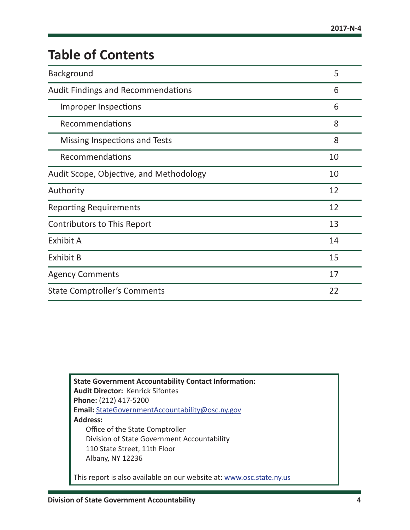## **Table of Contents**

| <b>Background</b>                         | 5  |
|-------------------------------------------|----|
| <b>Audit Findings and Recommendations</b> | 6  |
| Improper Inspections                      | 6  |
| Recommendations                           | 8  |
| Missing Inspections and Tests             | 8  |
| Recommendations                           | 10 |
| Audit Scope, Objective, and Methodology   | 10 |
| Authority                                 | 12 |
| <b>Reporting Requirements</b>             | 12 |
| Contributors to This Report               | 13 |
| Exhibit A                                 | 14 |
| <b>Exhibit B</b>                          | 15 |
| <b>Agency Comments</b>                    | 17 |
| <b>State Comptroller's Comments</b>       | 22 |

**State Government Accountability Contact Information: Audit Director:** Kenrick Sifontes **Phone:** (212) 417-5200 **Email:** [StateGovernmentAccountability@osc.](mailto:StateGovernmentAccountability%40osc.ny.gov?subject=)ny.gov **Address:** Office of the State Comptroller Division of State Government Accountability 110 State Street, 11th Floor Albany, NY 12236 This report is also available on our website at: [www.osc.state.ny.us](http://www.osc.state.ny.us)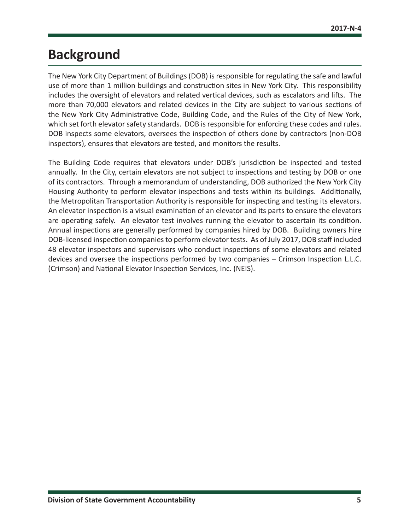## <span id="page-5-0"></span>**Background**

The New York City Department of Buildings (DOB) is responsible for regulating the safe and lawful use of more than 1 million buildings and construction sites in New York City. This responsibility includes the oversight of elevators and related vertical devices, such as escalators and lifts. The more than 70,000 elevators and related devices in the City are subject to various sections of the New York City Administrative Code, Building Code, and the Rules of the City of New York, which set forth elevator safety standards. DOB is responsible for enforcing these codes and rules. DOB inspects some elevators, oversees the inspection of others done by contractors (non-DOB inspectors), ensures that elevators are tested, and monitors the results.

The Building Code requires that elevators under DOB's jurisdiction be inspected and tested annually. In the City, certain elevators are not subject to inspections and testing by DOB or one of its contractors. Through a memorandum of understanding, DOB authorized the New York City Housing Authority to perform elevator inspections and tests within its buildings. Additionally, the Metropolitan Transportation Authority is responsible for inspecting and testing its elevators. An elevator inspection is a visual examination of an elevator and its parts to ensure the elevators are operating safely. An elevator test involves running the elevator to ascertain its condition. Annual inspections are generally performed by companies hired by DOB. Building owners hire DOB-licensed inspection companies to perform elevator tests. As of July 2017, DOB staff included 48 elevator inspectors and supervisors who conduct inspections of some elevators and related devices and oversee the inspections performed by two companies – Crimson Inspection L.L.C. (Crimson) and National Elevator Inspection Services, Inc. (NEIS).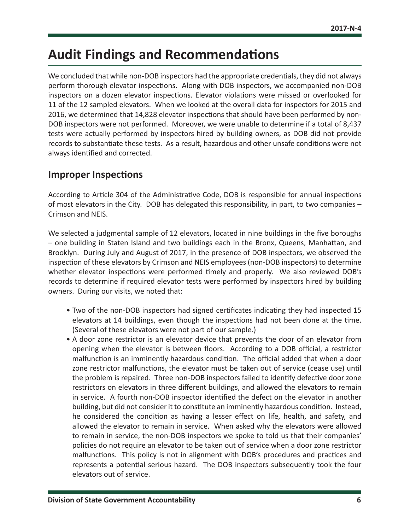## <span id="page-6-0"></span>**Audit Findings and Recommendations**

We concluded that while non-DOB inspectors had the appropriate credentials, they did not always perform thorough elevator inspections. Along with DOB inspectors, we accompanied non-DOB inspectors on a dozen elevator inspections. Elevator violations were missed or overlooked for 11 of the 12 sampled elevators. When we looked at the overall data for inspectors for 2015 and 2016, we determined that 14,828 elevator inspections that should have been performed by non-DOB inspectors were not performed. Moreover, we were unable to determine if a total of 8,437 tests were actually performed by inspectors hired by building owners, as DOB did not provide records to substantiate these tests. As a result, hazardous and other unsafe conditions were not always identified and corrected.

### **Improper Inspections**

According to Article 304 of the Administrative Code, DOB is responsible for annual inspections of most elevators in the City. DOB has delegated this responsibility, in part, to two companies – Crimson and NEIS.

We selected a judgmental sample of 12 elevators, located in nine buildings in the five boroughs – one building in Staten Island and two buildings each in the Bronx, Queens, Manhattan, and Brooklyn. During July and August of 2017, in the presence of DOB inspectors, we observed the inspection of these elevators by Crimson and NEIS employees (non-DOB inspectors) to determine whether elevator inspections were performed timely and properly. We also reviewed DOB's records to determine if required elevator tests were performed by inspectors hired by building owners. During our visits, we noted that:

- Two of the non-DOB inspectors had signed certificates indicating they had inspected 15 elevators at 14 buildings, even though the inspections had not been done at the time. (Several of these elevators were not part of our sample.)
- A door zone restrictor is an elevator device that prevents the door of an elevator from opening when the elevator is between floors. According to a DOB official, a restrictor malfunction is an imminently hazardous condition. The official added that when a door zone restrictor malfunctions, the elevator must be taken out of service (cease use) until the problem is repaired. Three non-DOB inspectors failed to identify defective door zone restrictors on elevators in three different buildings, and allowed the elevators to remain in service. A fourth non-DOB inspector identified the defect on the elevator in another building, but did not consider it to constitute an imminently hazardous condition. Instead, he considered the condition as having a lesser effect on life, health, and safety, and allowed the elevator to remain in service. When asked why the elevators were allowed to remain in service, the non-DOB inspectors we spoke to told us that their companies' policies do not require an elevator to be taken out of service when a door zone restrictor malfunctions. This policy is not in alignment with DOB's procedures and practices and represents a potential serious hazard. The DOB inspectors subsequently took the four elevators out of service.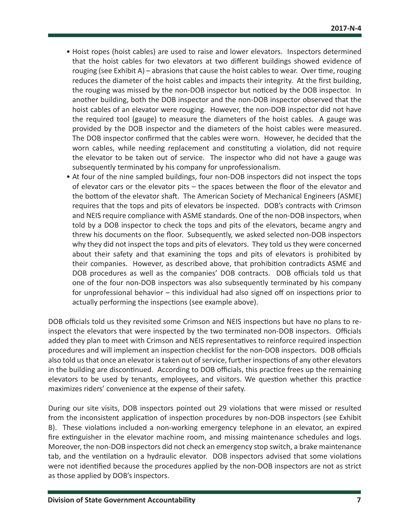- Hoist ropes (hoist cables) are used to raise and lower elevators. Inspectors determined that the hoist cables for two elevators at two different buildings showed evidence of rouging (see Exhibit A) – abrasions that cause the hoist cables to wear. Over time, rouging reduces the diameter of the hoist cables and impacts their integrity. At the first building, the rouging was missed by the non-DOB inspector but noticed by the DOB inspector. In another building, both the DOB inspector and the non-DOB inspector observed that the hoist cables of an elevator were rouging. However, the non-DOB inspector did not have the required tool (gauge) to measure the diameters of the hoist cables. A gauge was provided by the DOB inspector and the diameters of the hoist cables were measured. The DOB inspector confirmed that the cables were worn. However, he decided that the worn cables, while needing replacement and constituting a violation, did not require the elevator to be taken out of service. The inspector who did not have a gauge was subsequently terminated by his company for unprofessionalism.
- At four of the nine sampled buildings, four non-DOB inspectors did not inspect the tops of elevator cars or the elevator pits – the spaces between the floor of the elevator and the bottom of the elevator shaft. The American Society of Mechanical Engineers (ASME) requires that the tops and pits of elevators be inspected. DOB's contracts with Crimson and NEIS require compliance with ASME standards. One of the non-DOB inspectors, when told by a DOB inspector to check the tops and pits of the elevators, became angry and threw his documents on the floor. Subsequently, we asked selected non-DOB inspectors why they did not inspect the tops and pits of elevators. They told us they were concerned about their safety and that examining the tops and pits of elevators is prohibited by their companies. However, as described above, that prohibition contradicts ASME and DOB procedures as well as the companies' DOB contracts. DOB officials told us that one of the four non-DOB inspectors was also subsequently terminated by his company for unprofessional behavior – this individual had also signed off on inspections prior to actually performing the inspections (see example above).

DOB officials told us they revisited some Crimson and NEIS inspections but have no plans to reinspect the elevators that were inspected by the two terminated non-DOB inspectors. Officials added they plan to meet with Crimson and NEIS representatives to reinforce required inspection procedures and will implement an inspection checklist for the non-DOB inspectors. DOB officials also told us that once an elevator is taken out of service, further inspections of any other elevators in the building are discontinued. According to DOB officials, this practice frees up the remaining elevators to be used by tenants, employees, and visitors. We question whether this practice maximizes riders' convenience at the expense of their safety.

During our site visits, DOB inspectors pointed out 29 violations that were missed or resulted from the inconsistent application of inspection procedures by non-DOB inspectors (see Exhibit B). These violations included a non-working emergency telephone in an elevator, an expired fire extinguisher in the elevator machine room, and missing maintenance schedules and logs. Moreover, the non-DOB inspectors did not check an emergency stop switch, a brake maintenance tab, and the ventilation on a hydraulic elevator. DOB inspectors advised that some violations were not identified because the procedures applied by the non-DOB inspectors are not as strict as those applied by DOB's inspectors.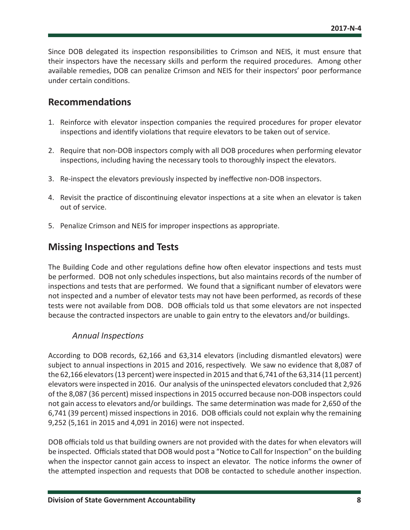<span id="page-8-0"></span>Since DOB delegated its inspection responsibilities to Crimson and NEIS, it must ensure that their inspectors have the necessary skills and perform the required procedures. Among other available remedies, DOB can penalize Crimson and NEIS for their inspectors' poor performance under certain conditions.

### **Recommendations**

- 1. Reinforce with elevator inspection companies the required procedures for proper elevator inspections and identify violations that require elevators to be taken out of service.
- 2. Require that non-DOB inspectors comply with all DOB procedures when performing elevator inspections, including having the necessary tools to thoroughly inspect the elevators.
- 3. Re-inspect the elevators previously inspected by ineffective non-DOB inspectors.
- 4. Revisit the practice of discontinuing elevator inspections at a site when an elevator is taken out of service.
- 5. Penalize Crimson and NEIS for improper inspections as appropriate.

## **Missing Inspections and Tests**

The Building Code and other regulations define how often elevator inspections and tests must be performed. DOB not only schedules inspections, but also maintains records of the number of inspections and tests that are performed. We found that a significant number of elevators were not inspected and a number of elevator tests may not have been performed, as records of these tests were not available from DOB. DOB officials told us that some elevators are not inspected because the contracted inspectors are unable to gain entry to the elevators and/or buildings.

### *Annual Inspections*

According to DOB records, 62,166 and 63,314 elevators (including dismantled elevators) were subject to annual inspections in 2015 and 2016, respectively. We saw no evidence that 8,087 of the 62,166 elevators (13 percent) were inspected in 2015 and that 6,741 of the 63,314 (11 percent) elevators were inspected in 2016. Our analysis of the uninspected elevators concluded that 2,926 of the 8,087 (36 percent) missed inspections in 2015 occurred because non-DOB inspectors could not gain access to elevators and/or buildings. The same determination was made for 2,650 of the 6,741 (39 percent) missed inspections in 2016. DOB officials could not explain why the remaining 9,252 (5,161 in 2015 and 4,091 in 2016) were not inspected.

DOB officials told us that building owners are not provided with the dates for when elevators will be inspected. Officials stated that DOB would post a "Notice to Call for Inspection" on the building when the inspector cannot gain access to inspect an elevator. The notice informs the owner of the attempted inspection and requests that DOB be contacted to schedule another inspection.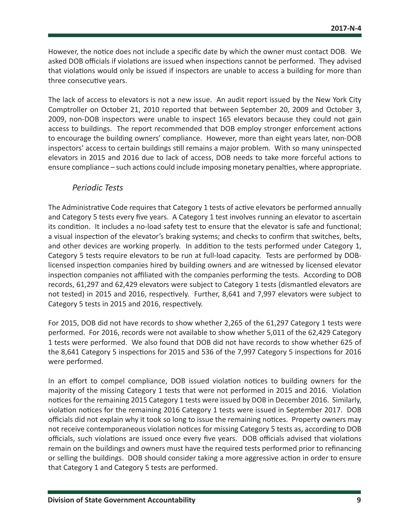However, the notice does not include a specific date by which the owner must contact DOB. We asked DOB officials if violations are issued when inspections cannot be performed. They advised that violations would only be issued if inspectors are unable to access a building for more than three consecutive years.

The lack of access to elevators is not a new issue. An audit report issued by the New York City Comptroller on October 21, 2010 reported that between September 20, 2009 and October 3, 2009, non-DOB inspectors were unable to inspect 165 elevators because they could not gain access to buildings. The report recommended that DOB employ stronger enforcement actions to encourage the building owners' compliance. However, more than eight years later, non-DOB inspectors' access to certain buildings still remains a major problem. With so many uninspected elevators in 2015 and 2016 due to lack of access, DOB needs to take more forceful actions to ensure compliance – such actions could include imposing monetary penalties, where appropriate.

### *Periodic Tests*

The Administrative Code requires that Category 1 tests of active elevators be performed annually and Category 5 tests every five years. A Category 1 test involves running an elevator to ascertain its condition. It includes a no-load safety test to ensure that the elevator is safe and functional; a visual inspection of the elevator's braking systems; and checks to confirm that switches, belts, and other devices are working properly. In addition to the tests performed under Category 1, Category 5 tests require elevators to be run at full-load capacity. Tests are performed by DOBlicensed inspection companies hired by building owners and are witnessed by licensed elevator inspection companies not affiliated with the companies performing the tests. According to DOB records, 61,297 and 62,429 elevators were subject to Category 1 tests (dismantled elevators are not tested) in 2015 and 2016, respectively. Further, 8,641 and 7,997 elevators were subject to Category 5 tests in 2015 and 2016, respectively.

For 2015, DOB did not have records to show whether 2,265 of the 61,297 Category 1 tests were performed. For 2016, records were not available to show whether 5,011 of the 62,429 Category 1 tests were performed. We also found that DOB did not have records to show whether 625 of the 8,641 Category 5 inspections for 2015 and 536 of the 7,997 Category 5 inspections for 2016 were performed.

In an effort to compel compliance, DOB issued violation notices to building owners for the majority of the missing Category 1 tests that were not performed in 2015 and 2016. Violation notices for the remaining 2015 Category 1 tests were issued by DOB in December 2016. Similarly, violation notices for the remaining 2016 Category 1 tests were issued in September 2017. DOB officials did not explain why it took so long to issue the remaining notices. Property owners may not receive contemporaneous violation notices for missing Category 5 tests as, according to DOB officials, such violations are issued once every five years. DOB officials advised that violations remain on the buildings and owners must have the required tests performed prior to refinancing or selling the buildings. DOB should consider taking a more aggressive action in order to ensure that Category 1 and Category 5 tests are performed.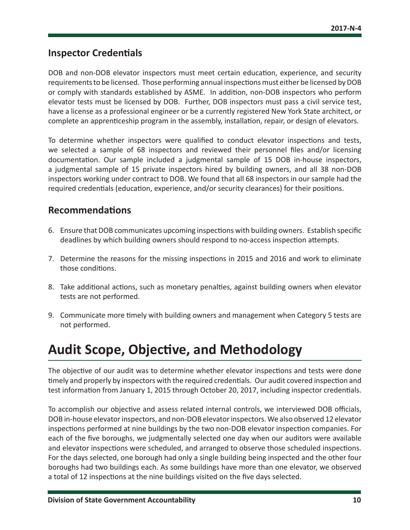### <span id="page-10-0"></span>**Inspector Credentials**

DOB and non-DOB elevator inspectors must meet certain education, experience, and security requirements to be licensed. Those performing annual inspections must either be licensed by DOB or comply with standards established by ASME. In addition, non-DOB inspectors who perform elevator tests must be licensed by DOB. Further, DOB inspectors must pass a civil service test, have a license as a professional engineer or be a currently registered New York State architect, or complete an apprenticeship program in the assembly, installation, repair, or design of elevators.

To determine whether inspectors were qualified to conduct elevator inspections and tests, we selected a sample of 68 inspectors and reviewed their personnel files and/or licensing documentation. Our sample included a judgmental sample of 15 DOB in-house inspectors, a judgmental sample of 15 private inspectors hired by building owners, and all 38 non-DOB inspectors working under contract to DOB. We found that all 68 inspectors in our sample had the required credentials (education, experience, and/or security clearances) for their positions.

### **Recommendations**

- 6. Ensure that DOB communicates upcoming inspections with building owners. Establish specific deadlines by which building owners should respond to no-access inspection attempts.
- 7. Determine the reasons for the missing inspections in 2015 and 2016 and work to eliminate those conditions.
- 8. Take additional actions, such as monetary penalties, against building owners when elevator tests are not performed.
- 9. Communicate more timely with building owners and management when Category 5 tests are not performed.

## **Audit Scope, Objective, and Methodology**

The objective of our audit was to determine whether elevator inspections and tests were done timely and properly by inspectors with the required credentials. Our audit covered inspection and test information from January 1, 2015 through October 20, 2017, including inspector credentials.

To accomplish our objective and assess related internal controls, we interviewed DOB officials, DOB in-house elevator inspectors, and non-DOB elevator inspectors. We also observed 12 elevator inspections performed at nine buildings by the two non-DOB elevator inspection companies. For each of the five boroughs, we judgmentally selected one day when our auditors were available and elevator inspections were scheduled, and arranged to observe those scheduled inspections. For the days selected, one borough had only a single building being inspected and the other four boroughs had two buildings each. As some buildings have more than one elevator, we observed a total of 12 inspections at the nine buildings visited on the five days selected.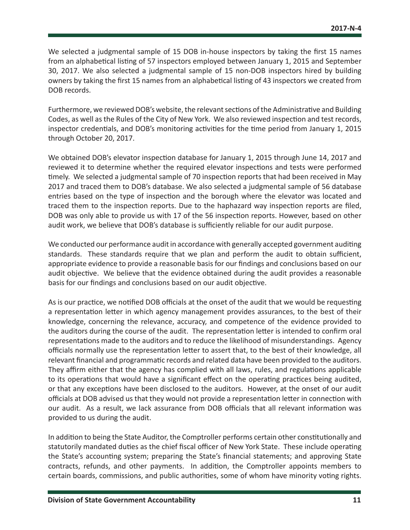We selected a judgmental sample of 15 DOB in-house inspectors by taking the first 15 names from an alphabetical listing of 57 inspectors employed between January 1, 2015 and September 30, 2017. We also selected a judgmental sample of 15 non-DOB inspectors hired by building owners by taking the first 15 names from an alphabetical listing of 43 inspectors we created from DOB records.

Furthermore, we reviewed DOB's website, the relevant sections of the Administrative and Building Codes, as well as the Rules of the City of New York. We also reviewed inspection and test records, inspector credentials, and DOB's monitoring activities for the time period from January 1, 2015 through October 20, 2017.

We obtained DOB's elevator inspection database for January 1, 2015 through June 14, 2017 and reviewed it to determine whether the required elevator inspections and tests were performed timely. We selected a judgmental sample of 70 inspection reports that had been received in May 2017 and traced them to DOB's database. We also selected a judgmental sample of 56 database entries based on the type of inspection and the borough where the elevator was located and traced them to the inspection reports. Due to the haphazard way inspection reports are filed, DOB was only able to provide us with 17 of the 56 inspection reports. However, based on other audit work, we believe that DOB's database is sufficiently reliable for our audit purpose.

We conducted our performance audit in accordance with generally accepted government auditing standards. These standards require that we plan and perform the audit to obtain sufficient, appropriate evidence to provide a reasonable basis for our findings and conclusions based on our audit objective. We believe that the evidence obtained during the audit provides a reasonable basis for our findings and conclusions based on our audit objective.

As is our practice, we notified DOB officials at the onset of the audit that we would be requesting a representation letter in which agency management provides assurances, to the best of their knowledge, concerning the relevance, accuracy, and competence of the evidence provided to the auditors during the course of the audit. The representation letter is intended to confirm oral representations made to the auditors and to reduce the likelihood of misunderstandings. Agency officials normally use the representation letter to assert that, to the best of their knowledge, all relevant financial and programmatic records and related data have been provided to the auditors. They affirm either that the agency has complied with all laws, rules, and regulations applicable to its operations that would have a significant effect on the operating practices being audited, or that any exceptions have been disclosed to the auditors. However, at the onset of our audit officials at DOB advised us that they would not provide a representation letter in connection with our audit. As a result, we lack assurance from DOB officials that all relevant information was provided to us during the audit.

In addition to being the State Auditor, the Comptroller performs certain other constitutionally and statutorily mandated duties as the chief fiscal officer of New York State. These include operating the State's accounting system; preparing the State's financial statements; and approving State contracts, refunds, and other payments. In addition, the Comptroller appoints members to certain boards, commissions, and public authorities, some of whom have minority voting rights.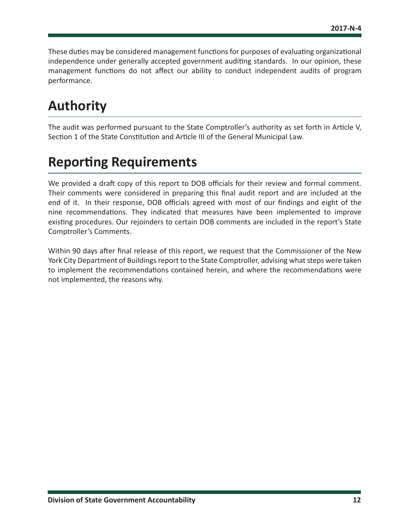<span id="page-12-0"></span>These duties may be considered management functions for purposes of evaluating organizational independence under generally accepted government auditing standards. In our opinion, these management functions do not affect our ability to conduct independent audits of program performance.

## **Authority**

The audit was performed pursuant to the State Comptroller's authority as set forth in Article V, Section 1 of the State Constitution and Article III of the General Municipal Law.

## **Reporting Requirements**

We provided a draft copy of this report to DOB officials for their review and formal comment. Their comments were considered in preparing this final audit report and are included at the end of it. In their response, DOB officials agreed with most of our findings and eight of the nine recommendations. They indicated that measures have been implemented to improve existing procedures. Our rejoinders to certain DOB comments are included in the report's State Comptroller's Comments.

Within 90 days after final release of this report, we request that the Commissioner of the New York City Department of Buildings report to the State Comptroller, advising what steps were taken to implement the recommendations contained herein, and where the recommendations were not implemented, the reasons why.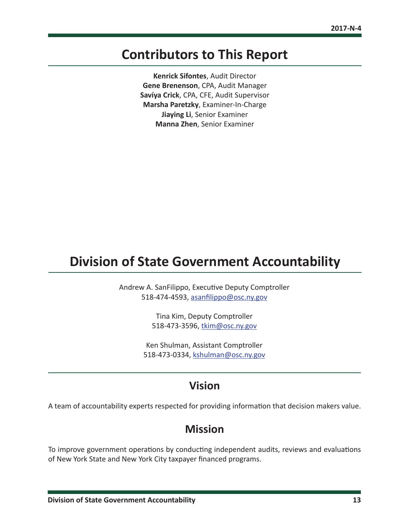## <span id="page-13-0"></span>**Contributors to This Report**

**Kenrick Sifontes**, Audit Director **Gene Brenenson**, CPA, Audit Manager **Savíya Crick**, CPA, CFE, Audit Supervisor **Marsha Paretzky**, Examiner-In-Charge **Jiaying Li**, Senior Examiner **Manna Zhen**, Senior Examiner

## **Division of State Government Accountability**

Andrew A. SanFilippo, Executive Deputy Comptroller 518-474-4593, [asanfilippo@osc.ny.gov](mailto:asanfilippo%40osc.ny.gov?subject=)

> Tina Kim, Deputy Comptroller 518-473-3596, [tkim@osc.](mailto:tkim%40osc.ny.gov?subject=)ny.gov

Ken Shulman, Assistant Comptroller 518-473-0334, [kshulman@osc.](mailto:kshulman%40osc.ny.gov?subject=)ny.gov

## **Vision**

A team of accountability experts respected for providing information that decision makers value.

## **Mission**

To improve government operations by conducting independent audits, reviews and evaluations of New York State and New York City taxpayer financed programs.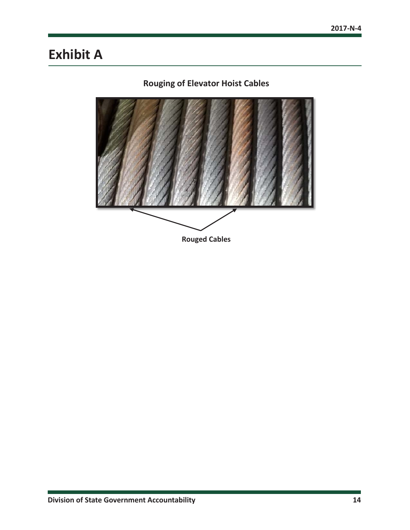## <span id="page-14-0"></span>**Exhibit A**

## **Rouging of Elevator Hoist Cables**

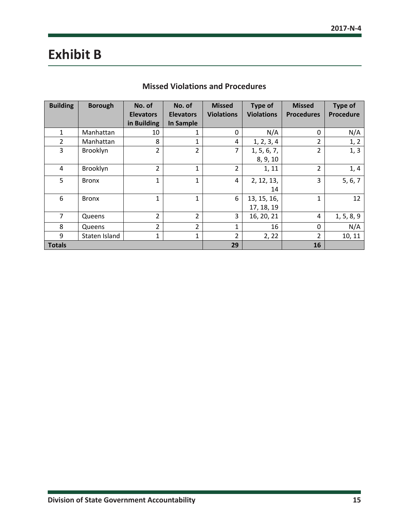## <span id="page-15-0"></span>**Exhibit B**

| <b>Building</b> | <b>Borough</b> | No. of           | No. of           | <b>Missed</b>     | <b>Type of</b>    | <b>Missed</b>     | Type of    |
|-----------------|----------------|------------------|------------------|-------------------|-------------------|-------------------|------------|
|                 |                | <b>Elevators</b> | <b>Elevators</b> | <b>Violations</b> | <b>Violations</b> | <b>Procedures</b> | Procedure  |
|                 |                | in Building      | <b>In Sample</b> |                   |                   |                   |            |
| 1               | Manhattan      | 10               | 1                | 0                 | N/A               | 0                 | N/A        |
| $\overline{2}$  | Manhattan      | 8                | 1                | 4                 | 1, 2, 3, 4        | $\overline{2}$    | 1, 2       |
| 3               | Brooklyn       | $\overline{2}$   | $\overline{2}$   | $\overline{7}$    | 1, 5, 6, 7,       | $\overline{2}$    | 1, 3       |
|                 |                |                  |                  |                   | 8, 9, 10          |                   |            |
| 4               | Brooklyn       | $\overline{2}$   | $\mathbf{1}$     | $\overline{2}$    | 1, 11             | $\overline{2}$    | 1, 4       |
| 5               | <b>Bronx</b>   | $\mathbf{1}$     | 1                | 4                 | 2, 12, 13,        | 3                 | 5, 6, 7    |
|                 |                |                  |                  |                   | 14                |                   |            |
| 6               | <b>Bronx</b>   | $\mathbf{1}$     | $\mathbf{1}$     | 6                 | 13, 15, 16,       | $\mathbf{1}$      | 12         |
|                 |                |                  |                  |                   | 17, 18, 19        |                   |            |
| $\overline{7}$  | Queens         | $\overline{2}$   | $\overline{2}$   | 3                 | 16, 20, 21        | 4                 | 1, 5, 8, 9 |
| 8               | Queens         | $\overline{2}$   | $\overline{2}$   | $\mathbf{1}$      | 16                | $\mathbf 0$       | N/A        |
| 9               | Staten Island  | 1                | 1                | $\overline{2}$    | 2, 22             | 2                 | 10, 11     |
| <b>Totals</b>   |                |                  |                  | 29                |                   | 16                |            |

### **Missed Violations and Procedures**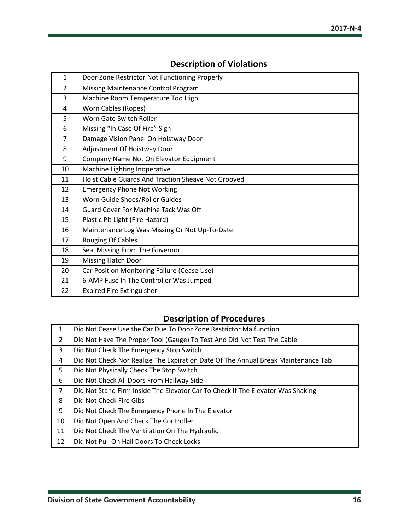| 1              | Door Zone Restrictor Not Functioning Properly      |
|----------------|----------------------------------------------------|
| $\overline{2}$ | Missing Maintenance Control Program                |
| 3              | Machine Room Temperature Too High                  |
| 4              | Worn Cables (Ropes)                                |
| 5              | Worn Gate Switch Roller                            |
| 6              | Missing "In Case Of Fire" Sign                     |
| 7              | Damage Vision Panel On Hoistway Door               |
| 8              | Adjustment Of Hoistway Door                        |
| 9              | Company Name Not On Elevator Equipment             |
| 10             | Machine Lighting Inoperative                       |
| 11             | Hoist Cable Guards And Traction Sheave Not Grooved |
| 12             | <b>Emergency Phone Not Working</b>                 |
| 13             | Worn Guide Shoes/Roller Guides                     |
| 14             | <b>Guard Cover For Machine Tack Was Off</b>        |
| 15             | Plastic Pit Light (Fire Hazard)                    |
| 16             | Maintenance Log Was Missing Or Not Up-To-Date      |
| 17             | <b>Rouging Of Cables</b>                           |
| 18             | Seal Missing From The Governor                     |
| 19             | <b>Missing Hatch Door</b>                          |
| 20             | Car Position Monitoring Failure (Cease Use)        |
| 21             | 6-AMP Fuse In The Controller Was Jumped            |
| 22             | <b>Expired Fire Extinguisher</b>                   |
|                |                                                    |

## **Description of Violations**

## **Description of Procedures**

| $\mathbf{1}$   | Did Not Cease Use the Car Due To Door Zone Restrictor Malfunction                 |
|----------------|-----------------------------------------------------------------------------------|
| $\overline{2}$ | Did Not Have The Proper Tool (Gauge) To Test And Did Not Test The Cable           |
| 3              | Did Not Check The Emergency Stop Switch                                           |
| 4              | Did Not Check Nor Realize The Expiration Date Of The Annual Break Maintenance Tab |
| 5              | Did Not Physically Check The Stop Switch                                          |
| 6              | Did Not Check All Doors From Hallway Side                                         |
| 7              | Did Not Stand Firm Inside The Elevator Car To Check If The Elevator Was Shaking   |
| 8              | Did Not Check Fire Gibs                                                           |
| 9              | Did Not Check The Emergency Phone In The Elevator                                 |
| 10             | Did Not Open And Check The Controller                                             |
| 11             | Did Not Check The Ventilation On The Hydraulic                                    |
| 12             | Did Not Pull On Hall Doors To Check Locks                                         |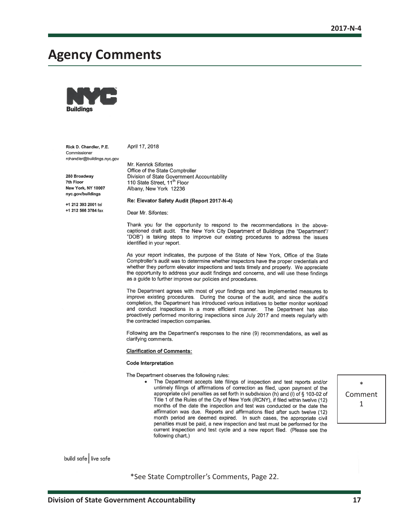## <span id="page-17-0"></span>**Agency Comments**



Rick D. Chandler, P.E. Commissioner rchandler@buildings.nyc.gov April 17, 2018

Mr. Kenrick Sifontes Office of the State Comptroller

280 Broadway 7th Floor New York, NY 10007 nvc.gov/buildings

+1 212 393 2001 tel +1 212 566 3784 fax Re: Elevator Safety Audit (Report 2017-N-4)

110 State Street, 11<sup>th</sup> Floor

Albany, New York 12236

Division of State Government Accountability

Dear Mr. Sifontes:

Thank you for the opportunity to respond to the recommendations in the abovecaptioned draft audit. The New York City Department of Buildings (the "Department"/ "DOB") is taking steps to improve our existing procedures to address the issues identified in your report.

As your report indicates, the purpose of the State of New York, Office of the State Comptroller's audit was to determine whether inspectors have the proper credentials and whether they perform elevator inspections and tests timely and properly. We appreciate the opportunity to address your audit findings and concerns, and will use these findings as a guide to further improve our policies and procedures.

The Department agrees with most of your findings and has implemented measures to improve existing procedures. During the course of the audit, and since the audit's completion, the Department has introduced various initiatives to better monitor workload and conduct inspections in a more efficient manner. The Department has also proactively performed monitoring inspections since July 2017 and meets regularly with the contracted inspection companies.

Following are the Department's responses to the nine (9) recommendations, as well as clarifying comments.

**Clarification of Comments:** 

#### **Code Interpretation**

The Department observes the following rules:

The Department accepts late filings of inspection and test reports and/or untimely filings of affirmations of correction as filed, upon payment of the appropriate civil penalties as set forth in subdivision (h) and (i) of § 103-02 of Title 1 of the Rules of the City of New York (RCNY), if filed within twelve (12) months of the date the inspection and test was conducted or the date the affirmation was due. Reports and affirmations filed after such twelve (12) month period are deemed expired. In such cases, the appropriate civil penalties must be paid, a new inspection and test must be performed for the current inspection and test cycle and a new report filed. (Please see the following chart.)

\* Comment 1

build safe live safe

\*See State Comptroller's Comments, Page 22.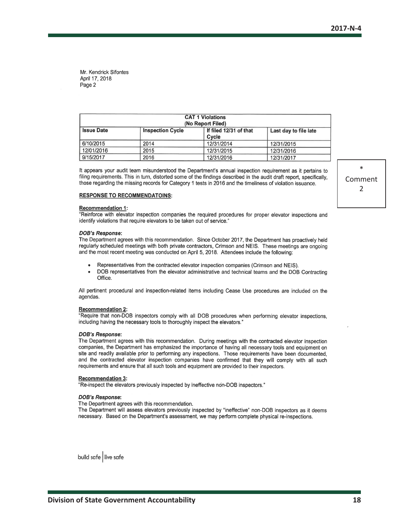| <b>CAT 1 Violations</b><br>(No Report Filed) |                         |                                 |                       |
|----------------------------------------------|-------------------------|---------------------------------|-----------------------|
| <b>Issue Date</b>                            | <b>Inspection Cycle</b> | If filed 12/31 of that<br>Cycle | Last day to file late |
| 6/10/2015                                    | 2014                    | 12/31/2014                      | 12/31/2015            |
| 12/01/2016                                   | 2015                    | 12/31/2015                      | 12/31/2016            |
| 9/15/2017                                    | 2016                    | 12/31/2016                      | 12/31/2017            |

It appears your audit team misunderstood the Department's annual inspection requirement as it pertains to filing requirements. This in turn, distorted some of the findings described in the audit draft report, specifically, those regarding the missing records for Category 1 tests in 2016 and the timeliness of violation issuance.

#### **RESPONSE TO RECOMMENDATOINS:**

#### **Recommendation 1:**

"Reinforce with elevator inspection companies the required procedures for proper elevator inspections and identify violations that require elevators to be taken out of service."

#### **DOB's Response:**

The Department agrees with this recommendation. Since October 2017, the Department has proactively held regularly scheduled meetings with both private contractors, Crimson and NEIS. These meetings are ongoing and the most recent meeting was conducted on April 5, 2018. Attendees include the following:

- Representatives from the contracted elevator inspection companies (Crimson and NEIS).
- DOB representatives from the elevator administrative and technical teams and the DOB Contracting Office.

All pertinent procedural and inspection-related items including Cease Use procedures are included on the agendas.

#### **Recommendation 2:**

"Require that non-DOB inspectors comply with all DOB procedures when performing elevator inspections, including having the necessary tools to thoroughly inspect the elevators."

#### **DOB's Response:**

The Department agrees with this recommendation. During meetings with the contracted elevator inspection companies, the Department has emphasized the importance of having all necessary tools and equipment on site and readily available prior to performing any inspections. Those requirements have been documented, and the contracted elevator inspection companies have confirmed that they will comply with all such requirements and ensure that all such tools and equipment are provided to their inspectors.

#### **Recommendation 3:**

"Re-inspect the elevators previously inspected by ineffective non-DOB inspectors."

#### **DOB's Response:**

The Department agrees with this recommendation.

The Department will assess elevators previously inspected by "ineffective" non-DOB inspectors as it deems necessary. Based on the Department's assessment, we may perform complete physical re-inspections.

build safe live safe

\* Comment 2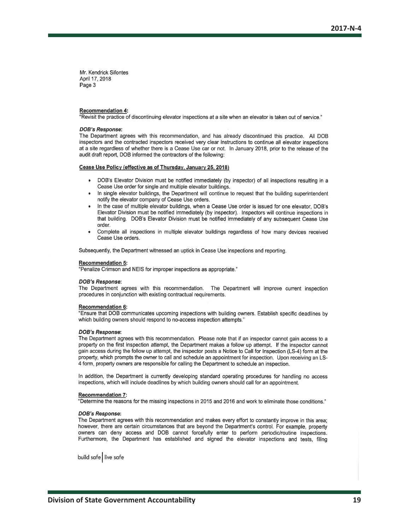#### Recommendation 4:

"Revisit the practice of discontinuing elevator inspections at a site when an elevator is taken out of service."

#### **DOB's Response:**

The Department agrees with this recommendation, and has already discontinued this practice. All DOB inspectors and the contracted inspectors received very clear instructions to continue all elevator inspections at a site regardless of whether there is a Cease Use car or not. In January 2018, prior to the release of the audit draft report, DOB informed the contractors of the following:

#### Cease Use Policy (effective as of Thursday, January 25, 2018)

- DOB's Elevator Division must be notified immediately (by inspector) of all inspections resulting in a Cease Use order for single and multiple elevator buildings.
- In single elevator buildings, the Department will continue to request that the building superintendent notify the elevator company of Cease Use orders.
- In the case of multiple elevator buildings, when a Cease Use order is issued for one elevator, DOB's Elevator Division must be notified immediately (by inspector). Inspectors will continue inspections in that building. DOB's Elevator Division must be notified immediately of any subsequent Cease Use order.
- Complete all inspections in multiple elevator buildings regardless of how many devices received Cease Use orders.

Subsequently, the Department witnessed an uptick in Cease Use inspections and reporting.

#### **Recommendation 5:**

"Penalize Crimson and NEIS for improper inspections as appropriate."

#### **DOB's Response:**

The Department agrees with this recommendation. The Department will improve current inspection procedures in conjunction with existing contractual requirements.

#### **Recommendation 6:**

"Ensure that DOB communicates upcoming inspections with building owners. Establish specific deadlines by which building owners should respond to no-access inspection attempts."

#### **DOB's Response:**

The Department agrees with this recommendation. Please note that if an inspector cannot gain access to a property on the first inspection attempt, the Department makes a follow up attempt. If the inspector cannot gain access during the follow up attempt, the inspector posts a Notice to Call for Inspection (LS-4) form at the property, which prompts the owner to call and schedule an appointment for inspection. Upon receiving an LS-4 form, property owners are responsible for calling the Department to schedule an inspection.

In addition, the Department is currently developing standard operating procedures for handling no access inspections, which will include deadlines by which building owners should call for an appointment.

#### **Recommendation 7:**

"Determine the reasons for the missing inspections in 2015 and 2016 and work to eliminate those conditions."

#### **DOB's Response:**

The Department agrees with this recommendation and makes every effort to constantly improve in this area; however, there are certain circumstances that are beyond the Department's control. For example, property owners can deny access and DOB cannot forcefully enter to perform periodic/routine inspections. Furthermore, the Department has established and signed the elevator inspections and tests, filing

build safe live safe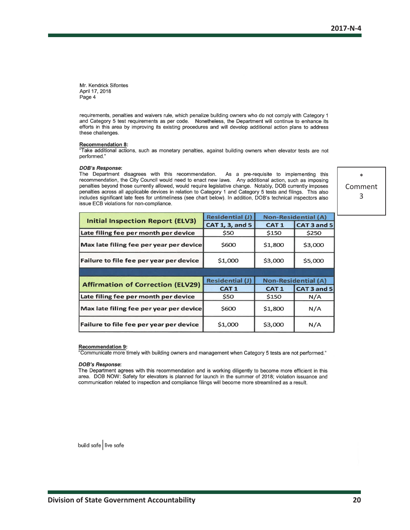requirements, penalties and waivers rule, which penalize building owners who do not comply with Category 1 and Category 5 test requirements as per code. Nonetheless, the Department will continue to enhance its efforts in this area by improving its existing procedures and will develop additional action plans to address these challenges.

#### **Recommendation 8:**

"Take additional actions, such as monetary penalties, against building owners when elevator tests are not performed."

#### **DOB's Response:**

The Department disagrees with this recommendation. As a pre-requisite to implementing this recommendation, the City Council would need to enact new laws. Any additional action, such as imposing penalties beyond those currently allowed, would require legislative change. Notably, DOB currently imposes penalties across all applicable devices in relation to Category 1 and Category 5 tests and filings. This also includes significant late fees for untimeliness (see chart below). In addition, DOB's technical inspectors also issue ECB violations for non-compliance.

\* Comment 3

|                                          | <b>Residential (J)</b> | <b>Non-Residential (A)</b> |                            |
|------------------------------------------|------------------------|----------------------------|----------------------------|
| <b>Initial Inspection Report (ELV3)</b>  | CAT 1, 3, and 5        | <b>CAT1</b>                | CAT 3 and 5                |
| Late filing fee per month per device     | \$50                   | \$150                      | \$250                      |
| Max late filing fee per year per device  | \$600                  | \$1,800                    | \$3,000                    |
| Failure to file fee per year per device  | \$1,000                | \$3,000                    | \$5,000                    |
|                                          |                        |                            |                            |
|                                          |                        |                            |                            |
|                                          | <b>Residential (J)</b> |                            | <b>Non-Residential (A)</b> |
| <b>Affirmation of Correction (ELV29)</b> | <b>CAT1</b>            | <b>CAT1</b>                | CAT 3 and 5                |
| Late filing fee per month per device     | \$50                   | \$150                      | N/A                        |
| Max late filing fee per year per device  | \$600                  | \$1,800                    | N/A                        |

#### **Recommendation 9:**

Communicate more timely with building owners and management when Category 5 tests are not performed."

#### **DOB's Response:**

The Department agrees with this recommendation and is working diligently to become more efficient in this area. DOB NOW: Safety for elevators is planned for launch in the summer of 2018; violation issuance and communication related to inspection and compliance filings will become more streamlined as a result.

build safe live safe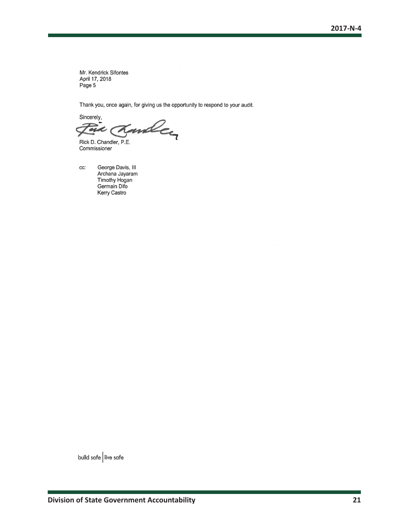Thank you, once again, for giving us the opportunity to respond to your audit.

Sincerely,

miley

Rick D. Chandler, P.E. Commissioner

cc: George Davis, III Archana Jayaram Timothy Hogan Germain Difo Kerry Castro

build safe live safe